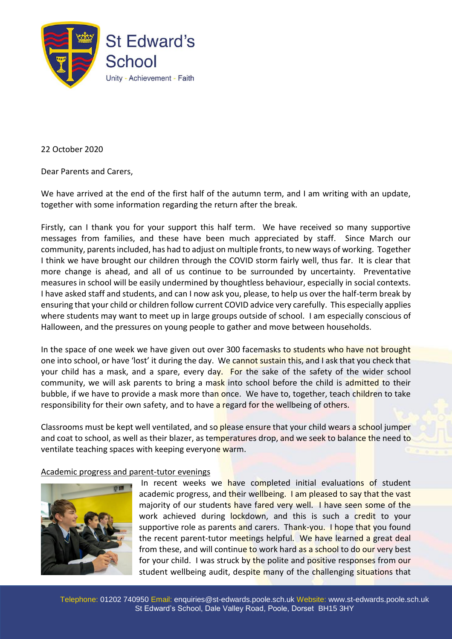

22 October 2020

Dear Parents and Carers,

We have arrived at the end of the first half of the autumn term, and I am writing with an update, together with some information regarding the return after the break.

Firstly, can I thank you for your support this half term. We have received so many supportive messages from families, and these have been much appreciated by staff. Since March our community, parents included, has had to adjust on multiple fronts, to new ways of working. Together I think we have brought our children through the COVID storm fairly well, thus far. It is clear that more change is ahead, and all of us continue to be surrounded by uncertainty. Preventative measures in school will be easily undermined by thoughtless behaviour, especially in social contexts. I have asked staff and students, and can I now ask you, please, to help us over the half-term break by ensuring that your child or children follow current COVID advice very carefully. This especially applies where students may want to meet up in large groups outside of school. I am especially conscious of Halloween, and the pressures on young people to gather and move between households.

In the space of one week we have given out over 300 facemasks to students who have not brought one into school, or have 'lost' it during the day. We cannot sustain this, and I ask that you check that your child has a mask, and a spare, every day. For the sake of the safety of the wider school community, we will ask parents to bring a mask into school before the child is admitted to their bubble, if we have to provide a mask more than once. We have to, together, teach children to take responsibility for their own safety, and to have a regard for the wellbeing of others.

Classrooms must be kept well ventilated, and so please ensure that your child wears a school jumper and coat to school, as well as their blazer, as temperatures drop, and we seek to balance the need to ventilate teaching spaces with keeping everyone warm.

Academic progress and parent-tutor evenings



In recent weeks we have completed initial evaluations of student academic progress, and their wellbeing. I am pleased to say that the vast majority of our students have fared very well. I have seen some of the work achieved during lockdown, and this is such a credit to your supportive role as parents and carers. Thank-you. I hope that you found the recent parent-tutor meetings helpful. We have learned a great deal from these, and will continue to work hard as a school to do our very best for your child. I was struck by the polite and positive responses from our student wellbeing audit, despite many of the challenging situations that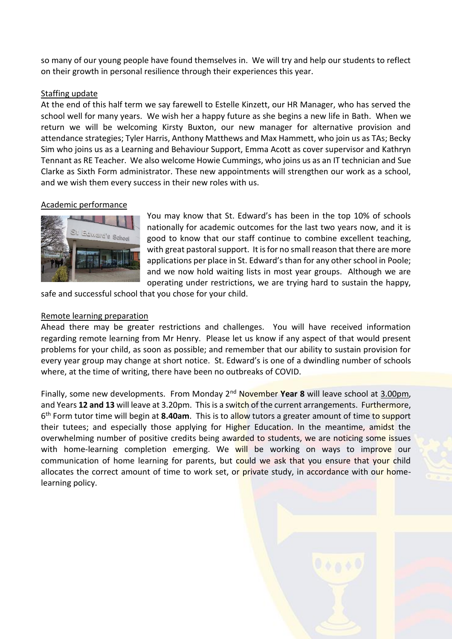so many of our young people have found themselves in. We will try and help our students to reflect on their growth in personal resilience through their experiences this year.

## Staffing update

At the end of this half term we say farewell to Estelle Kinzett, our HR Manager, who has served the school well for many years. We wish her a happy future as she begins a new life in Bath. When we return we will be welcoming Kirsty Buxton, our new manager for alternative provision and attendance strategies; Tyler Harris, Anthony Matthews and Max Hammett, who join us as TAs; Becky Sim who joins us as a Learning and Behaviour Support, Emma Acott as cover supervisor and Kathryn Tennant as RE Teacher. We also welcome Howie Cummings, who joins us as an IT technician and Sue Clarke as Sixth Form administrator. These new appointments will strengthen our work as a school, and we wish them every success in their new roles with us.

# Academic performance



You may know that St. Edward's has been in the top 10% of schools nationally for academic outcomes for the last two years now, and it is good to know that our staff continue to combine excellent teaching, with great pastoral support. It is for no small reason that there are more applications per place in St. Edward's than for any other school in Poole; and we now hold waiting lists in most year groups. Although we are operating under restrictions, we are trying hard to sustain the happy,

safe and successful school that you chose for your child.

### Remote learning preparation

Ahead there may be greater restrictions and challenges. You will have received information regarding remote learning from Mr Henry. Please let us know if any aspect of that would present problems for your child, as soon as possible; and remember that our ability to sustain provision for every year group may change at short notice. St. Edward's is one of a dwindling number of schools where, at the time of writing, there have been no outbreaks of COVID.

Finally, some new developments. From Monday 2nd November **Year 8** will leave school at 3.00pm, and Years **12 and 13** will leave at 3.20pm. This is a switch of the current arrangements. Furthermore, 6 th Form tutor time will begin at **8.40am**. This is to allow tutors a greater amount of time to support their tutees; and especially those applying for Higher Education. In the meantime, amidst the overwhelming number of positive credits being awarded to students, we are noticing some issues with home-learning completion emerging. We will be working on ways to improve our communication of home learning for parents, but could we ask that you ensure that your child allocates the correct amount of time to work set, or private study, in accordance with our homelearning policy.